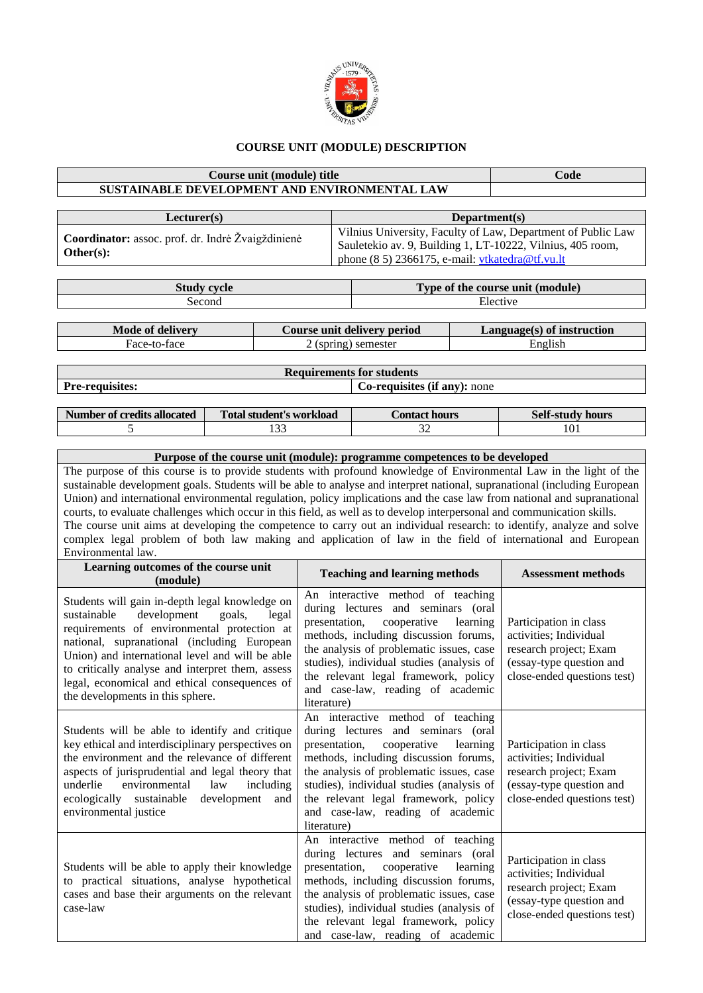

## **COURSE UNIT (MODULE) DESCRIPTION**

## **Course unit (module) title Code SUSTAINABLE DEVELOPMENT AND ENVIRONMENTAL LAW Lecturer(s) Department(s) Coordinator:** assoc. prof. dr. Indrė Žvaigždinienė **Other(s):** Vilnius University, Faculty of Law, Department of Public Law Sauletekio av. 9, Building 1, LT-10222, Vilnius, 405 room, phone (8 5) 2366175, e-mail[: vtkatedra@tf.vu.lt](mailto:vtkatedra@tf.vu.lt) **Study cycle Type of the course unit (module)** Second Elective Record **Mode of delivery Course unit delivery period Language(s) of instruction** Face-to-face 2 (spring) semester English **Requirements for students**

**Pre-requisites: Co-requisites: Co-requisites (if any):** none

| Number of credits allocated | Total student's workload | 'ontact<br><b>hours</b> | <b>Self-study hours</b> |
|-----------------------------|--------------------------|-------------------------|-------------------------|
|                             | $\sim$<br>.              | ◡                       | 1 U 1                   |

## **Purpose of the course unit (module): programme competences to be developed** The purpose of this course is to provide students with profound knowledge of Environmental Law in the light of the sustainable development goals. Students will be able to analyse and interpret national, supranational (including European Union) and international environmental regulation, policy implications and the case law from national and supranational courts, to evaluate challenges which occur in this field, as well as to develop interpersonal and communication skills. The course unit aims at developing the competence to carry out an individual research: to identify, analyze and solve complex legal problem of both law making and application of law in the field of international and European Environmental law. **Learning outcomes of the course unit (module) Teaching and learning methods Assessment methods** Students will gain in-depth legal knowledge on sustainable development goals, legal requirements of environmental protection at An interactive method of teaching during lectures and seminars (oral presentation, cooperative learning Participation in class

| Students will gain in-depth legal knowledge on<br>sustainable<br>development<br>legal<br>goals,<br>requirements of environmental protection at<br>national, supranational (including European<br>Union) and international level and will be able<br>to critically analyse and interpret them, assess<br>legal, economical and ethical consequences of<br>the developments in this sphere. | during lectures and seminars (oral<br>presentation, cooperative<br>learning<br>methods, including discussion forums,<br>the analysis of problematic issues, case<br>studies), individual studies (analysis of<br>the relevant legal framework, policy<br>and case-law, reading of academic<br>literature)                                      | Participation in class<br>activities; Individual<br>research project; Exam<br>(essay-type question and<br>close-ended questions test) |
|-------------------------------------------------------------------------------------------------------------------------------------------------------------------------------------------------------------------------------------------------------------------------------------------------------------------------------------------------------------------------------------------|------------------------------------------------------------------------------------------------------------------------------------------------------------------------------------------------------------------------------------------------------------------------------------------------------------------------------------------------|---------------------------------------------------------------------------------------------------------------------------------------|
| Students will be able to identify and critique<br>key ethical and interdisciplinary perspectives on<br>the environment and the relevance of different<br>aspects of jurisprudential and legal theory that<br>environmental<br>underlie<br>law<br>including<br>ecologically sustainable<br>development<br>and<br>environmental justice                                                     | An interactive method of teaching<br>during lectures and seminars (oral<br>presentation, cooperative<br>learning<br>methods, including discussion forums,<br>the analysis of problematic issues, case<br>studies), individual studies (analysis of<br>the relevant legal framework, policy<br>and case-law, reading of academic<br>literature) | Participation in class<br>activities; Individual<br>research project; Exam<br>(essay-type question and<br>close-ended questions test) |
| Students will be able to apply their knowledge<br>to practical situations, analyse hypothetical<br>cases and base their arguments on the relevant<br>case-law                                                                                                                                                                                                                             | An interactive method of teaching<br>during lectures and seminars (oral<br>learning<br>presentation, cooperative<br>methods, including discussion forums,<br>the analysis of problematic issues, case<br>studies), individual studies (analysis of<br>the relevant legal framework, policy<br>and case-law, reading of academic                | Participation in class<br>activities; Individual<br>research project; Exam<br>(essay-type question and<br>close-ended questions test) |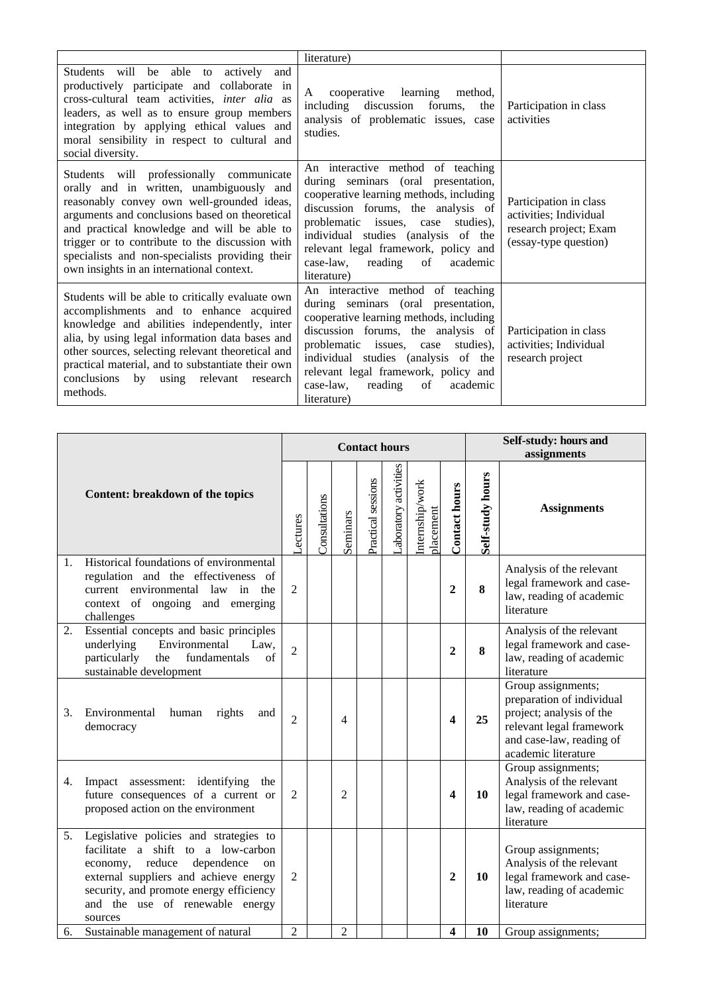|                                                                                                                                                                                                                                                                                                                                                                                        | literature)                                                                                                                                                                                                                                                                                                                                |                                                                                                     |
|----------------------------------------------------------------------------------------------------------------------------------------------------------------------------------------------------------------------------------------------------------------------------------------------------------------------------------------------------------------------------------------|--------------------------------------------------------------------------------------------------------------------------------------------------------------------------------------------------------------------------------------------------------------------------------------------------------------------------------------------|-----------------------------------------------------------------------------------------------------|
| Students will be able to actively<br>and<br>productively participate and collaborate in<br>cross-cultural team activities, inter alia as<br>leaders, as well as to ensure group members<br>integration by applying ethical values and<br>moral sensibility in respect to cultural and<br>social diversity.                                                                             | cooperative learning method,<br>A<br>including discussion forums,<br>the<br>analysis of problematic issues, case<br>studies.                                                                                                                                                                                                               | Participation in class<br>activities                                                                |
| Students will professionally communicate<br>orally and in written, unambiguously and<br>reasonably convey own well-grounded ideas,<br>arguments and conclusions based on theoretical<br>and practical knowledge and will be able to<br>trigger or to contribute to the discussion with<br>specialists and non-specialists providing their<br>own insights in an international context. | An interactive method of teaching<br>during seminars (oral presentation,<br>cooperative learning methods, including<br>discussion forums, the analysis of<br>problematic issues, case<br>studies),<br>individual studies (analysis of the<br>relevant legal framework, policy and<br>case-law,<br>reading<br>of<br>academic<br>literature) | Participation in class<br>activities; Individual<br>research project; Exam<br>(essay-type question) |
| Students will be able to critically evaluate own<br>accomplishments and to enhance acquired<br>knowledge and abilities independently, inter<br>alia, by using legal information data bases and<br>other sources, selecting relevant theoretical and<br>practical material, and to substantiate their own<br>conclusions<br>by using relevant research<br>methods.                      | An interactive method of teaching<br>during seminars (oral presentation,<br>cooperative learning methods, including<br>discussion forums, the analysis of<br>problematic issues, case<br>studies),<br>individual studies (analysis of the<br>relevant legal framework, policy and<br>case-law,<br>reading<br>of<br>academic<br>literature) | Participation in class<br>activities; Individual<br>research project                                |

|    |                                                                                                                                                                                                                                                       |                | <b>Contact hours</b> |                |                    |                       |                              |                      |                  | Self-study: hours and<br>assignments                                                                                                                       |  |
|----|-------------------------------------------------------------------------------------------------------------------------------------------------------------------------------------------------------------------------------------------------------|----------------|----------------------|----------------|--------------------|-----------------------|------------------------------|----------------------|------------------|------------------------------------------------------------------------------------------------------------------------------------------------------------|--|
|    | Content: breakdown of the topics                                                                                                                                                                                                                      | Lectures       | Consultations        | Seminars       | Practical sessions | Laboratory activities | Internship/work<br>placement | <b>Contact hours</b> | Self-study hours | <b>Assignments</b>                                                                                                                                         |  |
| 1. | Historical foundations of environmental<br>regulation and the effectiveness<br>of<br>current environmental law<br>in<br>the<br>context of ongoing and emerging<br>challenges                                                                          | $\overline{2}$ |                      |                |                    |                       |                              | $\overline{2}$       | 8                | Analysis of the relevant<br>legal framework and case-<br>law, reading of academic<br>literature                                                            |  |
| 2. | Essential concepts and basic principles<br>underlying<br>Environmental<br>Law,<br>particularly<br>fundamentals<br>the<br>of<br>sustainable development                                                                                                | $\overline{2}$ |                      |                |                    |                       |                              | $\overline{2}$       | 8                | Analysis of the relevant<br>legal framework and case-<br>law, reading of academic<br>literature                                                            |  |
| 3. | Environmental<br>human<br>rights<br>and<br>democracy                                                                                                                                                                                                  | $\overline{2}$ |                      | 4              |                    |                       |                              | 4                    | 25               | Group assignments;<br>preparation of individual<br>project; analysis of the<br>relevant legal framework<br>and case-law, reading of<br>academic literature |  |
| 4. | Impact assessment: identifying<br>the<br>future consequences of a current or<br>proposed action on the environment                                                                                                                                    | $\overline{2}$ |                      | $\overline{2}$ |                    |                       |                              | 4                    | 10               | Group assignments;<br>Analysis of the relevant<br>legal framework and case-<br>law, reading of academic<br>literature                                      |  |
| 5. | Legislative policies and strategies to<br>facilitate a shift to a low-carbon<br>economy, reduce<br>dependence<br>on<br>external suppliers and achieve energy<br>security, and promote energy efficiency<br>and the use of renewable energy<br>sources | $\overline{2}$ |                      |                |                    |                       |                              | $\overline{2}$       | 10               | Group assignments;<br>Analysis of the relevant<br>legal framework and case-<br>law, reading of academic<br>literature                                      |  |
| 6. | Sustainable management of natural                                                                                                                                                                                                                     | $\overline{2}$ |                      | $\overline{2}$ |                    |                       |                              | 4                    | 10               | Group assignments;                                                                                                                                         |  |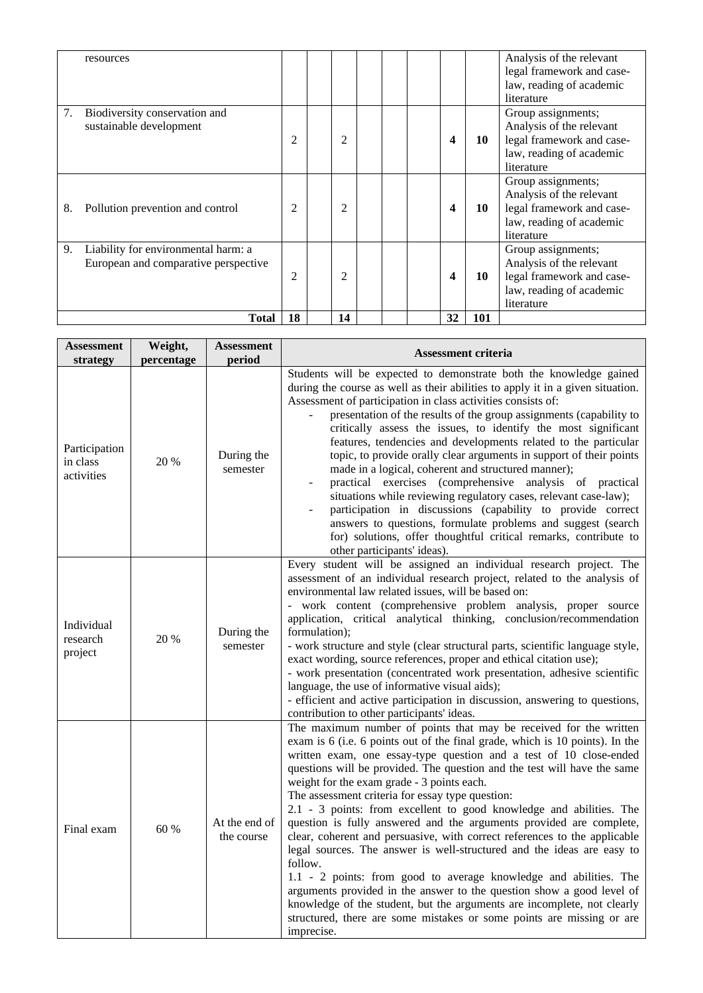|    | resources                                                                   |                |                |  |    |     | Analysis of the relevant<br>legal framework and case-<br>law, reading of academic<br>literature                       |
|----|-----------------------------------------------------------------------------|----------------|----------------|--|----|-----|-----------------------------------------------------------------------------------------------------------------------|
| 7. | Biodiversity conservation and<br>sustainable development                    | 2              | 2              |  | 4  | 10  | Group assignments;<br>Analysis of the relevant<br>legal framework and case-<br>law, reading of academic<br>literature |
| 8. | Pollution prevention and control                                            | $\overline{2}$ | $\overline{2}$ |  | 4  | 10  | Group assignments;<br>Analysis of the relevant<br>legal framework and case-<br>law, reading of academic<br>literature |
| 9. | Liability for environmental harm: a<br>European and comparative perspective | 2              | 2              |  | 4  | 10  | Group assignments;<br>Analysis of the relevant<br>legal framework and case-<br>law, reading of academic<br>literature |
|    | <b>Total</b>                                                                | 18             | 14             |  | 32 | 101 |                                                                                                                       |

| <b>Assessment</b><br>strategy           | Weight,<br>percentage | <b>Assessment</b><br>period | <b>Assessment criteria</b>                                                                                                                                                                                                                                                                                                                                                                                                                                                                                                                                                                                                                                                                                                                                                                                                                                                                                                                                                                                                            |
|-----------------------------------------|-----------------------|-----------------------------|---------------------------------------------------------------------------------------------------------------------------------------------------------------------------------------------------------------------------------------------------------------------------------------------------------------------------------------------------------------------------------------------------------------------------------------------------------------------------------------------------------------------------------------------------------------------------------------------------------------------------------------------------------------------------------------------------------------------------------------------------------------------------------------------------------------------------------------------------------------------------------------------------------------------------------------------------------------------------------------------------------------------------------------|
| Participation<br>in class<br>activities | 20 %                  | During the<br>semester      | Students will be expected to demonstrate both the knowledge gained<br>during the course as well as their abilities to apply it in a given situation.<br>Assessment of participation in class activities consists of:<br>presentation of the results of the group assignments (capability to<br>critically assess the issues, to identify the most significant<br>features, tendencies and developments related to the particular<br>topic, to provide orally clear arguments in support of their points<br>made in a logical, coherent and structured manner);<br>practical exercises (comprehensive analysis of practical<br>situations while reviewing regulatory cases, relevant case-law);<br>participation in discussions (capability to provide correct<br>answers to questions, formulate problems and suggest (search<br>for) solutions, offer thoughtful critical remarks, contribute to<br>other participants' ideas).                                                                                                      |
| Individual<br>research<br>project       | 20 %                  | During the<br>semester      | Every student will be assigned an individual research project. The<br>assessment of an individual research project, related to the analysis of<br>environmental law related issues, will be based on:<br>- work content (comprehensive problem analysis, proper source<br>application, critical analytical thinking, conclusion/recommendation<br>formulation);<br>- work structure and style (clear structural parts, scientific language style,<br>exact wording, source references, proper and ethical citation use);<br>- work presentation (concentrated work presentation, adhesive scientific<br>language, the use of informative visual aids);<br>- efficient and active participation in discussion, answering to questions,<br>contribution to other participants' ideas.                                                                                                                                                                                                                                                   |
| Final exam                              | 60 %                  | At the end of<br>the course | The maximum number of points that may be received for the written<br>exam is 6 (i.e. 6 points out of the final grade, which is 10 points). In the<br>written exam, one essay-type question and a test of 10 close-ended<br>questions will be provided. The question and the test will have the same<br>weight for the exam grade - 3 points each.<br>The assessment criteria for essay type question:<br>2.1 - 3 points: from excellent to good knowledge and abilities. The<br>question is fully answered and the arguments provided are complete,<br>clear, coherent and persuasive, with correct references to the applicable<br>legal sources. The answer is well-structured and the ideas are easy to<br>follow.<br>1.1 - 2 points: from good to average knowledge and abilities. The<br>arguments provided in the answer to the question show a good level of<br>knowledge of the student, but the arguments are incomplete, not clearly<br>structured, there are some mistakes or some points are missing or are<br>imprecise. |